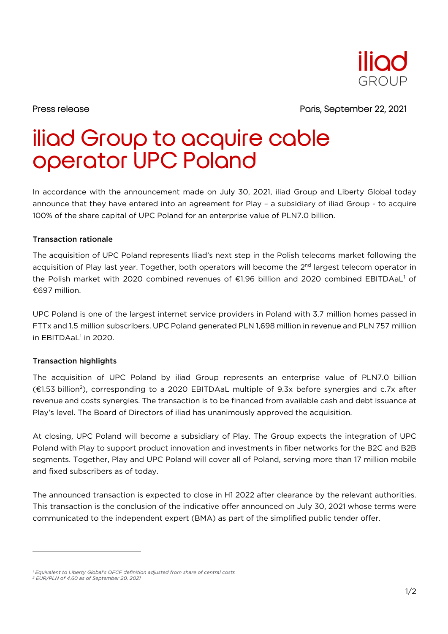

Press release Paris, September 22, 2021

## iliad Group to acquire cable operator UPC Poland

In accordance with the announcement made on July 30, 2021, iliad Group and Liberty Global today announce that they have entered into an agreement for Play – a subsidiary of iliad Group - to acquire 100% of the share capital of UPC Poland for an enterprise value of PLN7.0 billion.

## Transaction rationale

The acquisition of UPC Poland represents Iliad's next step in the Polish telecoms market following the acquisition of Play last year. Together, both operators will become the 2<sup>nd</sup> largest telecom operator in the Polish market with 2020 combined revenues of  $\epsilon$ 1.96 billion and 2020 combined EBITDAaL<sup>1</sup> of €697 million.

UPC Poland is one of the largest internet service providers in Poland with 3.7 million homes passed in FTTx and 1.5 million subscribers. UPC Poland generated PLN 1,698 million in revenue and PLN 757 million in EBITDAaL<sup>1</sup> in 2020.

## Transaction highlights

The acquisition of UPC Poland by iliad Group represents an enterprise value of PLN7.0 billion (€1.53 billion2), corresponding to a 2020 EBITDAaL multiple of 9.3x before synergies and c.7x after revenue and costs synergies. The transaction is to be financed from available cash and debt issuance at Play's level. The Board of Directors of iliad has unanimously approved the acquisition.

At closing, UPC Poland will become a subsidiary of Play. The Group expects the integration of UPC Poland with Play to support product innovation and investments in fiber networks for the B2C and B2B segments. Together, Play and UPC Poland will cover all of Poland, serving more than 17 million mobile and fixed subscribers as of today.

The announced transaction is expected to close in H1 2022 after clearance by the relevant authorities. This transaction is the conclusion of the indicative offer announced on July 30, 2021 whose terms were communicated to the independent expert (BMA) as part of the simplified public tender offer.

*<sup>1</sup> Equivalent to Liberty Global's OFCF definition adjusted from share of central costs*

*<sup>2</sup> EUR/PLN of 4.60 as of September 20, 2021*